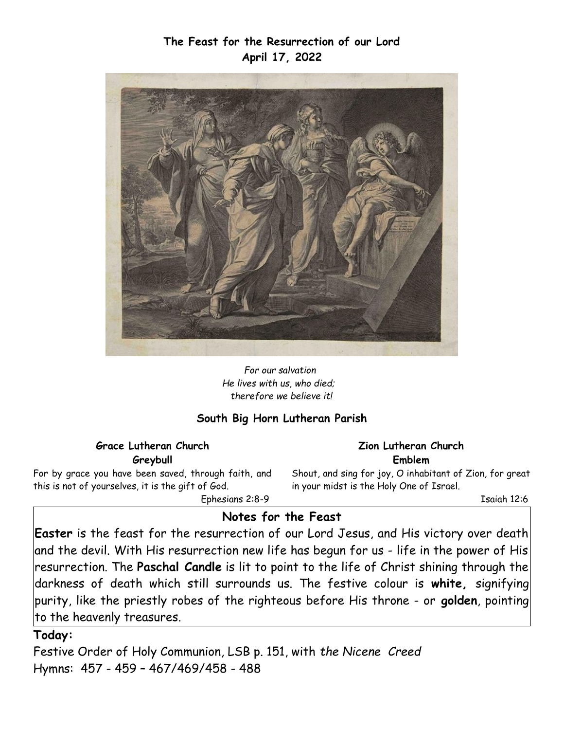# **The Feast for the Resurrection of our Lord April 17, 2022**



*For our salvation He lives with us, who died; therefore we believe it!*

## **South Big Horn Lutheran Parish**

## **Grace Lutheran Church Greybull**

For by grace you have been saved, through faith, and this is not of yourselves, it is the gift of God.

Ephesians 2:8-9

#### **Zion Lutheran Church Emblem**

Shout, and sing for joy, O inhabitant of Zion, for great in your midst is the Holy One of Israel.

Isaiah 12:6

# **Notes for the Feast**

**Easter** is the feast for the resurrection of our Lord Jesus, and His victory over death and the devil. With His resurrection new life has begun for us - life in the power of His resurrection. The **Paschal Candle** is lit to point to the life of Christ shining through the darkness of death which still surrounds us. The festive colour is **white,** signifying purity, like the priestly robes of the righteous before His throne - or **golden**, pointing to the heavenly treasures.

## **Today:**

Festive Order of Holy Communion, LSB p. 151, with *the Nicene Creed* Hymns: 457 - 459 – 467/469/458 - 488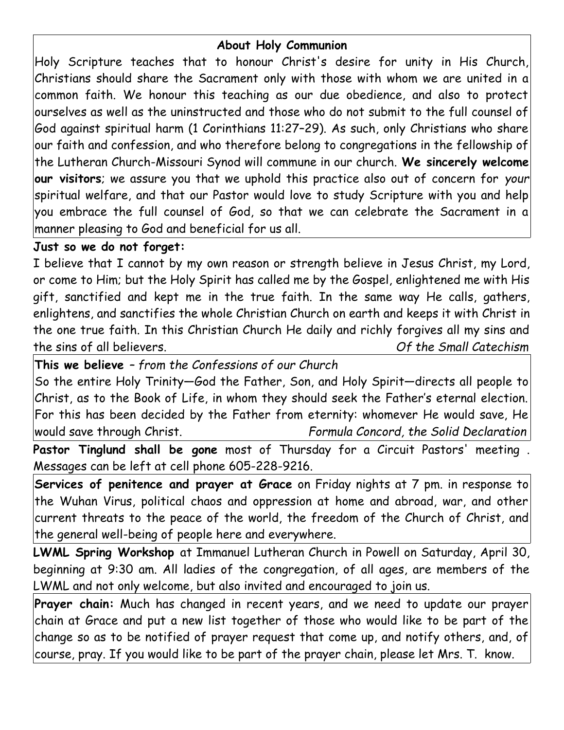# **About Holy Communion**

Holy Scripture teaches that to honour Christ's desire for unity in His Church, Christians should share the Sacrament only with those with whom we are united in a common faith. We honour this teaching as our due obedience, and also to protect ourselves as well as the uninstructed and those who do not submit to the full counsel of God against spiritual harm (1 Corinthians 11:27–29). As such, only Christians who share our faith and confession, and who therefore belong to congregations in the fellowship of the Lutheran Church-Missouri Synod will commune in our church. **We sincerely welcome our visitors**; we assure you that we uphold this practice also out of concern for *your* spiritual welfare, and that our Pastor would love to study Scripture with you and help you embrace the full counsel of God, so that we can celebrate the Sacrament in a manner pleasing to God and beneficial for us all.

# **Just so we do not forget:**

I believe that I cannot by my own reason or strength believe in Jesus Christ, my Lord, or come to Him; but the Holy Spirit has called me by the Gospel, enlightened me with His gift, sanctified and kept me in the true faith. In the same way He calls, gathers, enlightens, and sanctifies the whole Christian Church on earth and keeps it with Christ in the one true faith. In this Christian Church He daily and richly forgives all my sins and the sins of all believers. *Of the Small Catechism*

**This we believe** *– from the Confessions of our Church* So the entire Holy Trinity—God the Father, Son, and Holy Spirit—directs all people to

Christ, as to the Book of Life, in whom they should seek the Father's eternal election. For this has been decided by the Father from eternity: whomever He would save, He would save through Christ. *Formula Concord, the Solid Declaration*

**Pastor Tinglund shall be gone** most of Thursday for a Circuit Pastors' meeting . Messages can be left at cell phone 605-228-9216.

**Services of penitence and prayer at Grace** on Friday nights at 7 pm. in response to the Wuhan Virus, political chaos and oppression at home and abroad, war, and other current threats to the peace of the world, the freedom of the Church of Christ, and the general well-being of people here and everywhere.

**LWML Spring Workshop** at Immanuel Lutheran Church in Powell on Saturday, April 30, beginning at 9:30 am. All ladies of the congregation, of all ages, are members of the LWML and not only welcome, but also invited and encouraged to join us.

**Prayer chain:** Much has changed in recent years, and we need to update our prayer chain at Grace and put a new list together of those who would like to be part of the change so as to be notified of prayer request that come up, and notify others, and, of course, pray. If you would like to be part of the prayer chain, please let Mrs. T. know.